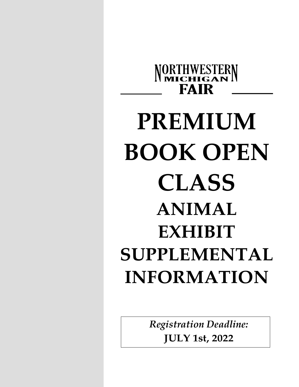

# **PREMIUM BOOK OPEN CLASS ANIMAL EXHIBIT SUPPLEMENTAL INFORMATION**

*Registration Deadline:* **JULY 1st, 2022**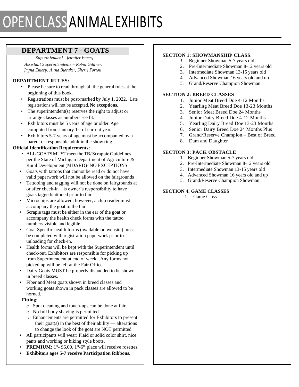## **DEPARTMENT 7 - GOATS**

*Superintendent - Jennifer Emery Assistant Superintendents – Robin Gildner, Jayna Emery, Anna Bjoraker, Sherri Forton*

## **DEPARTMENT RULES:**

- Please be sure to read through all the general rules at the beginning of this book.
- Registrations must be post-marked by July 1, 2022. Late registrations will not be accepted. **No exceptions.**
- The superintendent(s) reserves the right to adjust or arrange classes as numbers see fit.
- Exhibitors must be 5 years of age or older. Age computed from January 1st of current year.
- Exhibitors 5-7 years of age must be accompanied by a parent or responsible adult in the show ring.

## **Official Identification Requirements:**

- ALL GOATS MUST meet the TB/Scrappie Guidelines per the State of Michigan Department of Agriculture & Rural Development (MDARD)- NO EXCEPTIONS
- Goats with tattoos that cannot be read or do not have valid paperwork will not be allowed on the fairgrounds
- Tattooing and tagging will not be done on fairgrounds at or after check-in—is owner's responsibility to have goats tagged/tattooed prior to fair
- Microchips are allowed; however, a chip reader must accompany the goat to the fair
- Scrapie tags must be either in the ear of the goat or accompany the health check forms with the tattoo numbers visible and legible
- Goat Specific health forms (available on website) must be completed with registration paperwork prior to unloading for check-in.
- Health forms will be kept with the Superintendent until check-out. Exhibitors are responsible for picking up from Superintendent at end of week. Any forms not picked up will be left at the Fair Office.
- Dairy Goats MUST be properly disbudded to be shown in breed classes.
- Fiber and Meat goats shown in breed classes and working goats shown in pack classes are allowed to be horned.

### **Fitting:**

- o Spot cleaning and touch-ups can be done at fair.
- o No full body shaving is permitted.
- o Enhancements are permitted for Exhibitors to present their goat(s) in the best of their ability — alterations to change the look of the goat are NOT permitted
- All participants will wear: Plaid or solid color shirt, nice pants and working or hiking style boots.
- **PREMIUM:**  $1^{st}$  \$6.00.  $1^{st}$ -6<sup>th</sup> place will receive rosettes.
- **Exhibitors ages 5-7 receive Participation Ribbons.**

## **SECTION 1: SHOWMANSHIP CLASS***.*

- *1.* Beginner Showman 5-7 years old
- 2. Pre-Intermediate Showman 8-12 years old
- 3. Intermediate Showman 13-15 years old
- 4. Advanced Showman 16 years old and up
- *5.* Grand/Reserve Champion Showman

## **SECTION 2: BREED CLASSES**

- 1. Junior Meat Breed Doe 4-12 Months
- 2. Yearling Meat Breed Doe 13-23 Months
- 3. Senior Meat Breed Doe 24 Months
- 4. Junior Dairy Breed Doe 4-12 Months
- 5. Yearling Dairy Breed Doe 13-23 Months
- 6. Senior Dairy Breed Doe 24 Months Plus
- 7. Grand/Reserve Champion Best of Breed
- 8. Dam and Daughter

## **SECTION 3: PACK OBSTACLE**

- 1. Beginner Showman 5-7 years old
- 2. Pre-Intermediate Showman 8-12 years old
- 3. Intermediate Showman 13-15 years old
- 4. Advanced Showman 16 years old and up
- *5.* Grand/Reserve Champion Showman

## **SECTION 4: GAME CLASSES**

1. Game Class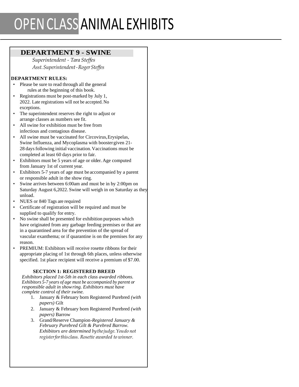## OPENCLASSANIMAL EXHIBITS

## **DEPARTMENT 9 - SWINE**

*Superintendent - Tara Steffes Asst.Superintendent-RogerSteffes*

## **DEPARTMENT RULES:**

- Please be sure to read through all the general rules at the beginning of this book.
- Registrations must be post-marked by July 1, 2022. Late registrations will not be accepted. No exceptions.
- The superintendent reserves the right to adjust or arrange classes as numbers see fit.
- All swine for exhibition must be free from infectious and contagious disease.
- All swine must be vaccinated for Circovirus,Erysipelas, Swine Influenza, and Mycoplasma with boostergiven 21- 28 days following initial vaccination. Vaccinations must be completed at least 60 days prior to fair.
- Exhibitors must be 5 years of age or older. Age computed from January 1st of current year.
- Exhibitors 5-7 years of age must be accompanied by a parent or responsible adult in the show ring.
- Swine arrives between 6:00am and must be in by 2:00pm on Saturday August 6,2022. Swine will weigh in on Saturday as they unload.
- NUES or 840 Tags are required
- Certificate of registration will be required and must be supplied to qualify for entry.
- No swine shall be presented for exhibition purposes which have originated from any garbage feeding premises or that are in a quarantined area for the prevention of the spread of vascular exanthema; or if quarantine is on the premises for any reason.
- PREMIUM: Exhibitors will receive rosette ribbons for their appropriate placing of 1st through 6th places, unless otherwise specified. 1st place recipient will receive a premium of \$7.00.

## **SECTION 1: REGISTERED BREED**

*Exhibitors placed 1st-5th in each class awarded ribbons. Exhibitors 5-7 years of age must be accompanied by parent or responsible adult in showring. Exhibitors must have complete control of their swine.*

- 1. January & February born Registered Purebred *(with papers)* Gilt
- 2. January & February born Registered Purebred *(with papers)* Barrow
- 3. Grand/Reserve Champion*-Registered January & February Purebred Gilt & Purebred Barrow. Exhibitors are determined bythejudge.Youdo not registerforthisclass. Rosette awarded to winner.*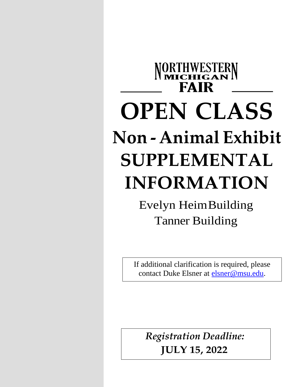# NORTHWESTERN **FAIR OPEN CLASS Non - Animal Exhibit SUPPLEMENTAL INFORMATION**

Evelyn HeimBuilding Tanner Building

If additional clarification is required, please contact Duke Elsner at [elsner@msu.edu.](mailto:elsner@msu.edu)

*Registration Deadline:* **JULY 15, 2022**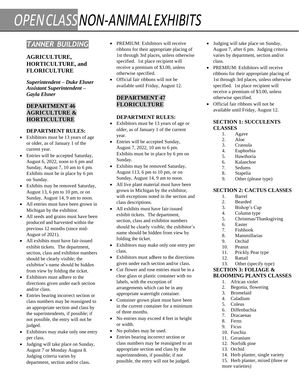## *OPENCLASSNON-ANIMALEXHIBITS*

## *TANNER BUILDING*

## **AGRICULTURE, HORTICULTURE, and FLORICULTURE**

*Superintendent – Duke Elsner Assistant Superintendent – Gayla Elsner*

## **DEPARTMENT 46 AGRICULTURE & HORTICULTURE**

## **DEPARTMENT RULES:**

- Exhibitors must be 13 years of age or older, as of January 1 of the current year.
- Entries will be accepted Saturday, August 6, 2022, noon to 6 pm and Sunday, August 7, 10 am to 6 pm. Exhibits must be in place by 6 pm on Sunday.
- Exhibits may be removed Saturday, August 13, 6 pm to 10 pm, or on Sunday, August 14, 9 am to noon.
- All entries must have been grown in Michigan by the exhibitor.
- All seeds and grains must have been produced and harvested within the previous 12 months (since mid-August of 2021).
- All exhibits must have fair-issued exhibit tickets. The department, section, class and exhibitor numbers should be clearly visible; the exhibitor's name should be hidden from view by folding the ticket.
- Exhibitors must adhere to the directions given under each section and/or class.
- Entries bearing incorrect section or class numbers may be reassigned to an appropriate section and class by the superintendents, if possible; if not possible, the entry will not be judged.
- Exhibitors may make only one entry per class.
- Judging will take place on Sunday, August 7 or Monday August 8. Judging criteria varies by department, section and/or class.
- PREMIUM: Exhibitors will receive ribbons for their appropriate placing of 1st through 3rd places, unless otherwise specified. 1st place recipient will receive a premium of \$3.00, unless otherwise specified.
- Official fair ribbons will not be available until Friday, August 12.

## **DEPARTMENT 47 FLORICULTURE**

### **DEPARTMENT RULES:**

- Exhibitors must be 13 years of age or older, as of January 1 of the current year.
- Entries will be accepted Sunday, August 7, 2022, 10 am to 6 pm. Exhibits must be in place by 6 pm on Sunday.
- Exhibits may be removed Saturday, August 113, 6 pm to 10 pm, or on Sunday, August 14, 9 am to noon.
- All live plant material must have been grown in Michigan by the exhibitor, with exceptions noted in the section and class descriptions.
- All exhibits must have fair-issued exhibit tickets. The department, section, class and exhibitor numbers should be clearly visible; the exhibitor's name should be hidden from view by folding the ticket.
- Exhibitors may make only one entry per class.
- Exhibitors must adhere to the directions given under each section and/or class.
- Cut flower and rose entries must be in a clear glass or plastic container with no labels, with the exception of arrangements which can be in any appropriate watertight container.
- Container grown plant must have been in the current container for a minimum of three months.
- No entries may exceed 4 feet in height or width.
- No polishes may be used.
- Entries bearing incorrect section or class numbers may be reassigned to an appropriate section and class by the superintendents, if possible; if not possible, the entry will not be judged.
- Judging will take place on Sunday, August 7, after 6 pm. Judging criteria varies by department, section and/or class.
- PREMIUM: Exhibitors will receive ribbons for their appropriate placing of 1st through 3rd places, unless otherwise specified. 1st place recipient will receive a premium of \$3.00, unless otherwise specified.
- Official fair ribbons will not be available until Friday, August 12.

### **SECTION 1: SUCCULENTS CLASSES**

- 1. Agave
- 2. Aloe
- 3. Crassula
- 4. Euphorbia
- 5. Hawthoria
- 6. Kalanchoe
- 7. Sedums
- 8. Stapelia
- 9. Other (please type)

## **SECTION 2: CACTUS CLASSES**

- 1. Barrel
- 2. Bearded
- 3. Bishop's Cap
- 4. Column type
- 5. Christmas/Thanksgiving
- 6. Easter
- 7. Fishhook
- 8. Mammillarias
- 9. Orchid
- 10. Peanut
- 11. Prickly Pear type
- 12. Rattail
- 13. Other (specify type)

#### **SECTION 3: FOLIAGE & BLOOMING PLANTS CLASSES**

- 1. African violet
- 2. Begonia, flowering
- 3. Bromelaid
- 4. Caladium
- 5. Coleus
- 6. Diffenbachia 7. Dracaenas
- 8. Ferns
- 9. Ficus
- 10. Fuschia
- 11. Geranium
- 12. Norfolk pine
- 13. Orchid
- 14. Herb planter, single variety
- 15. Herb planter, mixed (three or
- more varieties)